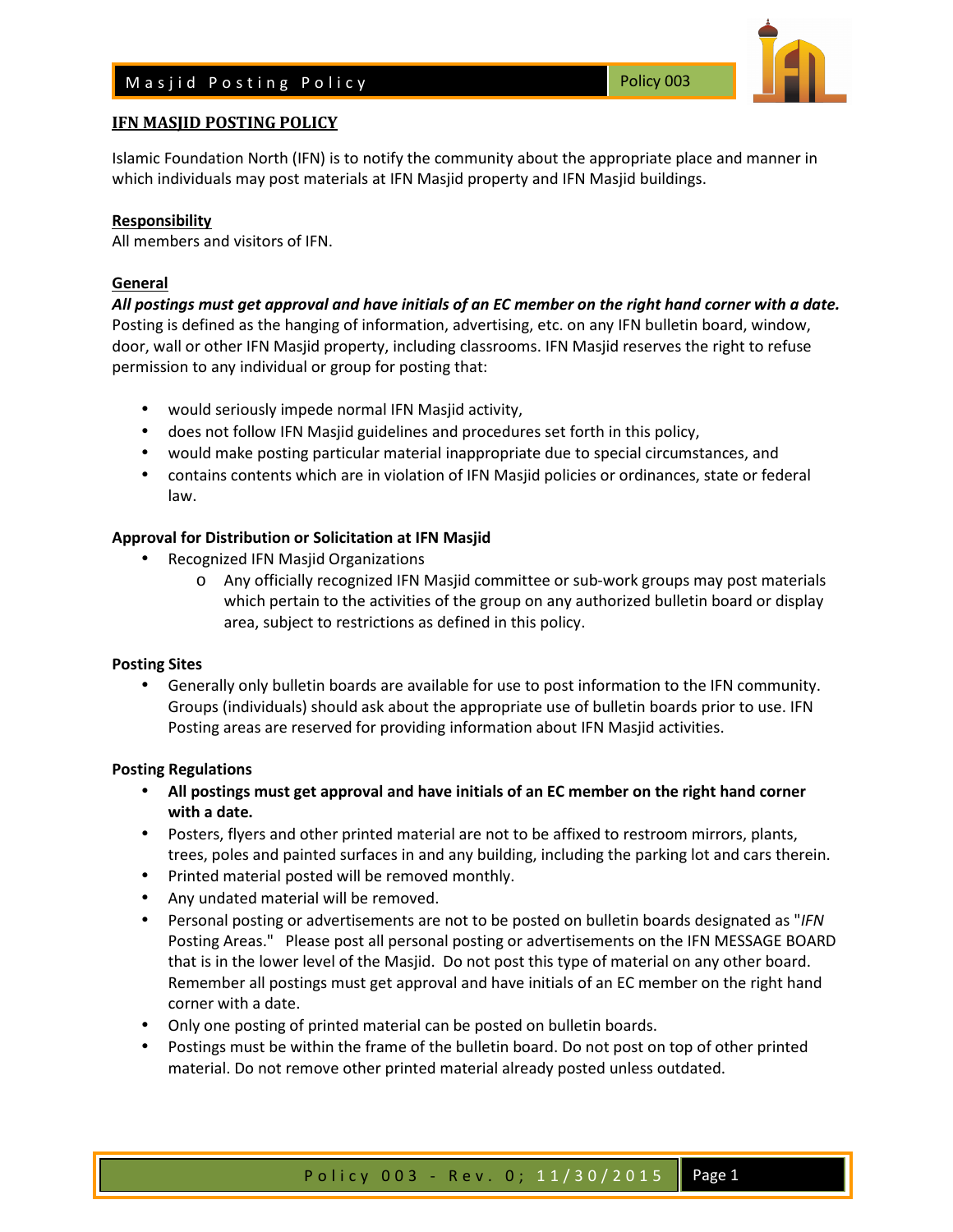

Islamic Foundation North (IFN) is to notify the community about the appropriate place and manner in which individuals may post materials at IFN Masjid property and IFN Masjid buildings.

#### **Responsibility**

All members and visitors of IFN.

#### **General**

*All postings must get approval and have initials of an EC member on the right hand corner with a date.* Posting is defined as the hanging of information, advertising, etc. on any IFN bulletin board, window, door, wall or other IFN Masjid property, including classrooms. IFN Masjid reserves the right to refuse permission to any individual or group for posting that:

- would seriously impede normal IFN Masjid activity,
- does not follow IFN Masjid guidelines and procedures set forth in this policy,
- would make posting particular material inappropriate due to special circumstances, and
- contains contents which are in violation of IFN Masjid policies or ordinances, state or federal law.

# **Approval for Distribution or Solicitation at IFN Masjid**

- Recognized IFN Masjid Organizations
	- o Any officially recognized IFN Masjid committee or sub-work groups may post materials which pertain to the activities of the group on any authorized bulletin board or display area, subject to restrictions as defined in this policy.

# **Posting Sites**

• Generally only bulletin boards are available for use to post information to the IFN community. Groups (individuals) should ask about the appropriate use of bulletin boards prior to use. IFN Posting areas are reserved for providing information about IFN Masjid activities.

# **Posting Regulations**

- **All postings must get approval and have initials of an EC member on the right hand corner with a date.**
- Posters, flyers and other printed material are not to be affixed to restroom mirrors, plants, trees, poles and painted surfaces in and any building, including the parking lot and cars therein.
- Printed material posted will be removed monthly.
- Any undated material will be removed.
- Personal posting or advertisements are not to be posted on bulletin boards designated as "*IFN* Posting Areas." Please post all personal posting or advertisements on the IFN MESSAGE BOARD that is in the lower level of the Masjid. Do not post this type of material on any other board. Remember all postings must get approval and have initials of an EC member on the right hand corner with a date.
- Only one posting of printed material can be posted on bulletin boards.
- Postings must be within the frame of the bulletin board. Do not post on top of other printed material. Do not remove other printed material already posted unless outdated.